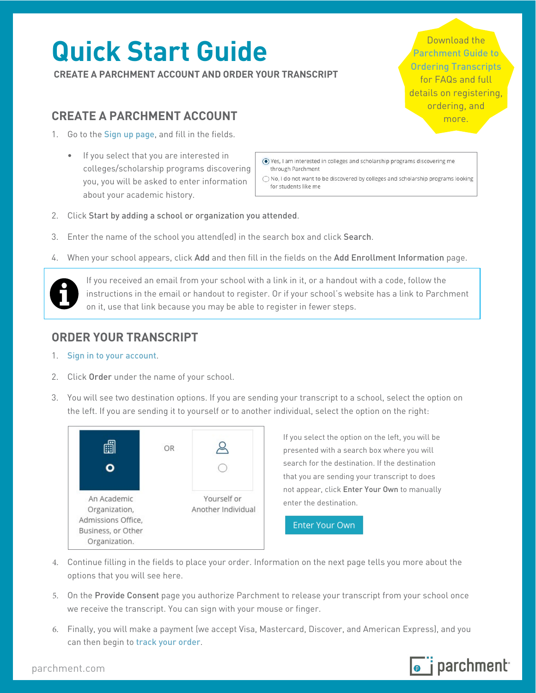# **Quick Start Guide**

**CREATE A PARCHMENT ACCOUNT AND ORDER YOUR TRANSCRIPT**

# **CREATE A PARCHMENT ACCOUNT**

- 1. Go to the [Sign up page](https://www.parchment.com/u/registration/individual), and fill in the fields.
	- If you select that you are interested in colleges/scholarship programs discovering you, you will be asked to enter information about your academic history.

Download the [Parchment Guide to](https://support.parchment.com/FileManagement/Download/0ded25db75ea4b3ba6cbcb1c95705915)  [Ordering Transcripts](https://support.parchment.com/FileManagement/Download/0ded25db75ea4b3ba6cbcb1c95705915) for FAQs and full details on registering, ordering, and more.

⊙ Yes, I am interested in colleges and scholarship programs discovering me through Parchment

◯ No, I do not want to be discovered by colleges and scholarship programs looking for students like me

- 2. Click Start by adding a school or organization you attended.
- 3. Enter the name of the school you attend(ed) in the search box and click Search.
- 4. When your school appears, click Add and then fill in the fields on the Add Enrollment Information page.



If you received an email from your school with a link in it, or a handout with a code, follow the instructions in the email or handout to register. Or if your school's website has a link to Parchment on it, use that link because you may be able to register in fewer steps.

# **ORDER YOUR TRANSCRIPT**

- 1. [Sign in to your account](https://www.parchment.com/u/auth/login).
- 2. Click Order under the name of your school.
- 3. You will see two destination options. If you are sending your transcript to a school, select the option on the left. If you are sending it to yourself or to another individual, select the option on the right:



If you select the option on the left, you will be presented with a search box where you will search for the destination. If the destination that you are sending your transcript to does not appear, click Enter Your Own to manually enter the destination.

**Enter Your Own** 

- 4. Continue filling in the fields to place your order. Information on the next page tells you more about the options that you will see here.
- 5. On the Provide Consent page you authorize Parchment to release your transcript from your school once we receive the transcript. You can sign with your mouse or finger.
- 6. Finally, you will make a payment (we accept Visa, Mastercard, Discover, and American Express), and you can then begin to [track your order](http://support.parchment.com/link/portal/30029/30032/Article/22/Track-your-order).